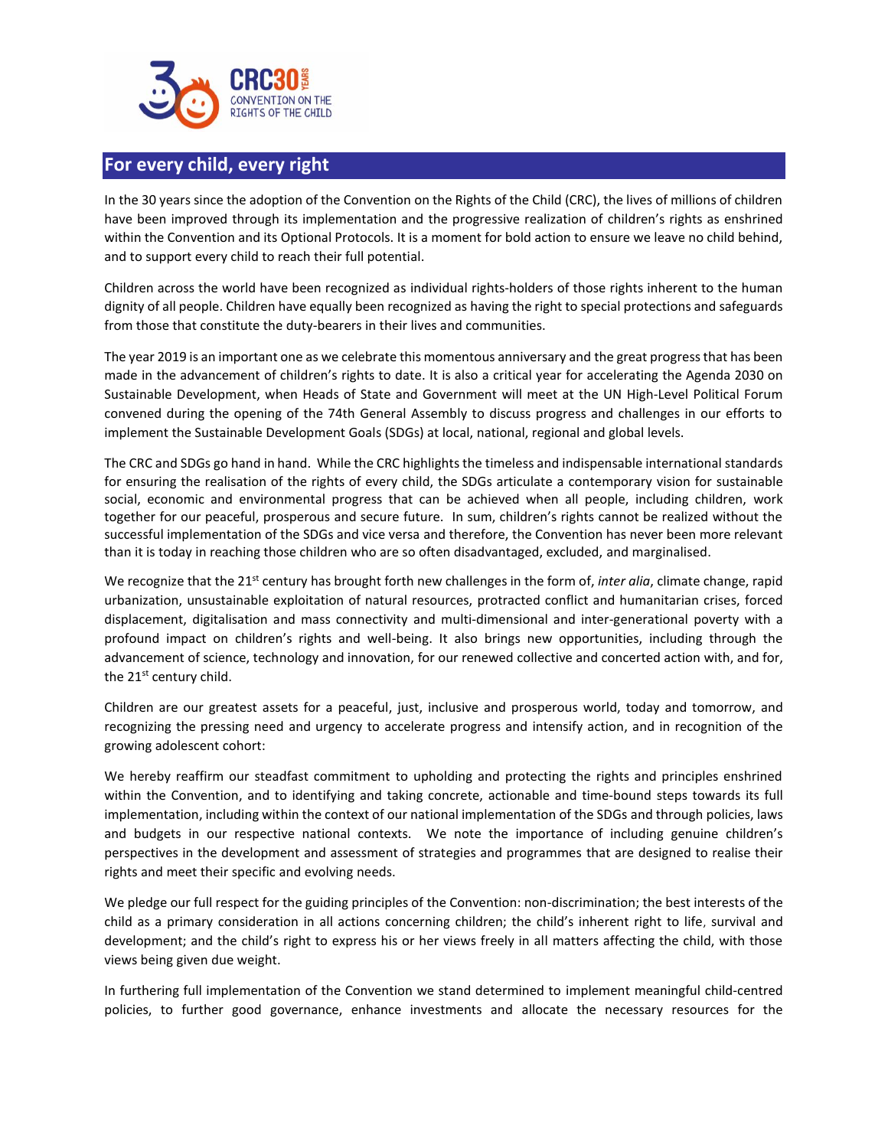

## **For every child, every right**

In the 30 years since the adoption of the Convention on the Rights of the Child (CRC), the lives of millions of children have been improved through its implementation and the progressive realization of children's rights as enshrined within the Convention and its Optional Protocols. It is a moment for bold action to ensure we leave no child behind, and to support every child to reach their full potential.

Children across the world have been recognized as individual rights-holders of those rights inherent to the human dignity of all people. Children have equally been recognized as having the right to special protections and safeguards from those that constitute the duty-bearers in their lives and communities.

The year 2019 is an important one as we celebrate this momentous anniversary and the great progress that has been made in the advancement of children's rights to date. It is also a critical year for accelerating the Agenda 2030 on Sustainable Development, when Heads of State and Government will meet at the UN High-Level Political Forum convened during the opening of the 74th General Assembly to discuss progress and challenges in our efforts to implement the Sustainable Development Goals (SDGs) at local, national, regional and global levels.

The CRC and SDGs go hand in hand. While the CRC highlights the timeless and indispensable international standards for ensuring the realisation of the rights of every child, the SDGs articulate a contemporary vision for sustainable social, economic and environmental progress that can be achieved when all people, including children, work together for our peaceful, prosperous and secure future. In sum, children's rights cannot be realized without the successful implementation of the SDGs and vice versa and therefore, the Convention has never been more relevant than it is today in reaching those children who are so often disadvantaged, excluded, and marginalised.

We recognize that the 21<sup>st</sup> century has brought forth new challenges in the form of, *inter alia*, climate change, rapid urbanization, unsustainable exploitation of natural resources, protracted conflict and humanitarian crises, forced displacement, digitalisation and mass connectivity and multi-dimensional and inter-generational poverty with a profound impact on children's rights and well-being. It also brings new opportunities, including through the advancement of science, technology and innovation, for our renewed collective and concerted action with, and for, the  $21^{st}$  century child.

Children are our greatest assets for a peaceful, just, inclusive and prosperous world, today and tomorrow, and recognizing the pressing need and urgency to accelerate progress and intensify action, and in recognition of the growing adolescent cohort:

We hereby reaffirm our steadfast commitment to upholding and protecting the rights and principles enshrined within the Convention, and to identifying and taking concrete, actionable and time-bound steps towards its full implementation, including within the context of our national implementation of the SDGs and through policies, laws and budgets in our respective national contexts. We note the importance of including genuine children's perspectives in the development and assessment of strategies and programmes that are designed to realise their rights and meet their specific and evolving needs.

We pledge our full respect for the guiding principles of the Convention: non-discrimination; the best interests of the child as a primary consideration in all actions concerning children; the child's inherent right to life, survival and development; and the child's right to express his or her views freely in all matters affecting the child, with those views being given due weight.

In furthering full implementation of the Convention we stand determined to implement meaningful child-centred policies, to further good governance, enhance investments and allocate the necessary resources for the